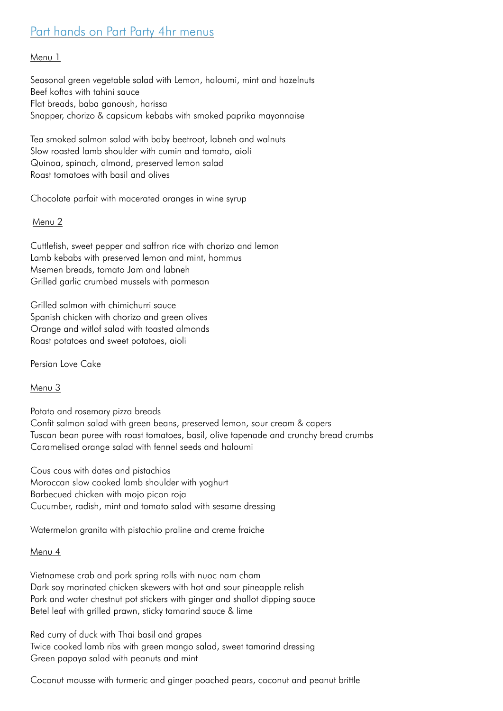## Part hands on Part Party 4hr menus

## Menu 1

Seasonal green vegetable salad with Lemon, haloumi, mint and hazelnuts Beef koftas with tahini sauce Flat breads, baba ganoush, harissa Snapper, chorizo & capsicum kebabs with smoked paprika mayonnaise

Tea smoked salmon salad with baby beetroot, labneh and walnuts Slow roasted lamb shoulder with cumin and tomato, aioli Quinoa, spinach, almond, preserved lemon salad Roast tomatoes with basil and olives

Chocolate parfait with macerated oranges in wine syrup

## Menu 2

Cuttlefish, sweet pepper and saffron rice with chorizo and lemon Lamb kebabs with preserved lemon and mint, hommus Msemen breads, tomato Jam and labneh Grilled garlic crumbed mussels with parmesan

Grilled salmon with chimichurri sauce Spanish chicken with chorizo and green olives Orange and witlof salad with toasted almonds Roast potatoes and sweet potatoes, aioli

Persian Love Cake

Menu 3

Potato and rosemary pizza breads Confit salmon salad with green beans, preserved lemon, sour cream & capers Tuscan bean puree with roast tomatoes, basil, olive tapenade and crunchy bread crumbs Caramelised orange salad with fennel seeds and haloumi

Cous cous with dates and pistachios Moroccan slow cooked lamb shoulder with yoghurt Barbecued chicken with mojo picon roja Cucumber, radish, mint and tomato salad with sesame dressing

Watermelon granita with pistachio praline and creme fraiche

## Menu 4

Vietnamese crab and pork spring rolls with nuoc nam cham Dark soy marinated chicken skewers with hot and sour pineapple relish Pork and water chestnut pot stickers with ginger and shallot dipping sauce Betel leaf with grilled prawn, sticky tamarind sauce & lime

Red curry of duck with Thai basil and grapes Twice cooked lamb ribs with green mango salad, sweet tamarind dressing Green papaya salad with peanuts and mint

Coconut mousse with turmeric and ginger poached pears, coconut and peanut brittle